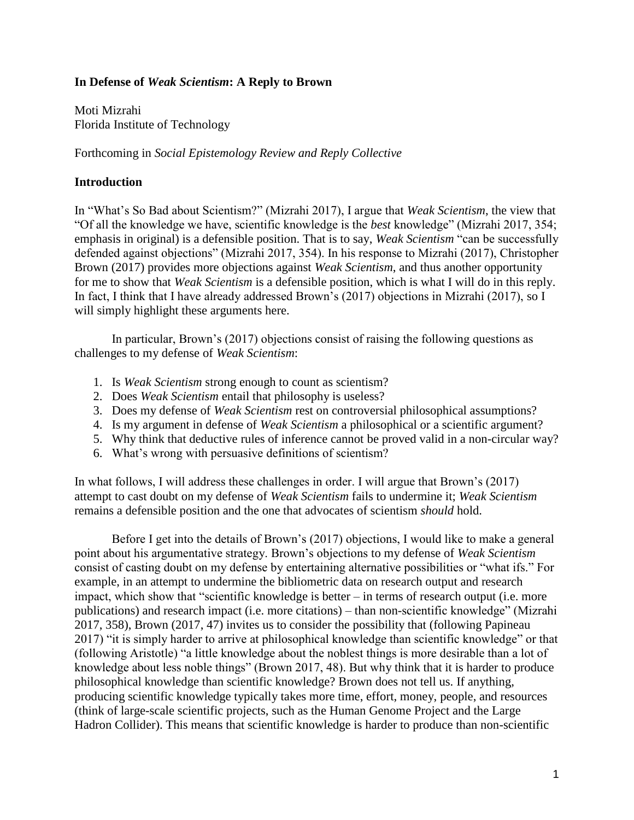## **In Defense of** *Weak Scientism***: A Reply to Brown**

Moti Mizrahi Florida Institute of Technology

Forthcoming in *Social Epistemology Review and Reply Collective*

## **Introduction**

In "What's So Bad about Scientism?" (Mizrahi 2017), I argue that *Weak Scientism*, the view that "Of all the knowledge we have, scientific knowledge is the *best* knowledge" (Mizrahi 2017, 354; emphasis in original) is a defensible position. That is to say, *Weak Scientism* "can be successfully defended against objections" (Mizrahi 2017, 354). In his response to Mizrahi (2017), Christopher Brown (2017) provides more objections against *Weak Scientism*, and thus another opportunity for me to show that *Weak Scientism* is a defensible position, which is what I will do in this reply. In fact, I think that I have already addressed Brown's (2017) objections in Mizrahi (2017), so I will simply highlight these arguments here.

In particular, Brown's (2017) objections consist of raising the following questions as challenges to my defense of *Weak Scientism*:

- 1. Is *Weak Scientism* strong enough to count as scientism?
- 2. Does *Weak Scientism* entail that philosophy is useless?
- 3. Does my defense of *Weak Scientism* rest on controversial philosophical assumptions?
- 4. Is my argument in defense of *Weak Scientism* a philosophical or a scientific argument?
- 5. Why think that deductive rules of inference cannot be proved valid in a non-circular way?
- 6. What's wrong with persuasive definitions of scientism?

In what follows, I will address these challenges in order. I will argue that Brown's (2017) attempt to cast doubt on my defense of *Weak Scientism* fails to undermine it; *Weak Scientism* remains a defensible position and the one that advocates of scientism *should* hold.

Before I get into the details of Brown's (2017) objections, I would like to make a general point about his argumentative strategy. Brown's objections to my defense of *Weak Scientism* consist of casting doubt on my defense by entertaining alternative possibilities or "what ifs." For example, in an attempt to undermine the bibliometric data on research output and research impact, which show that "scientific knowledge is better – in terms of research output (i.e. more publications) and research impact (i.e. more citations) – than non-scientific knowledge" (Mizrahi 2017, 358), Brown (2017, 47) invites us to consider the possibility that (following Papineau 2017) "it is simply harder to arrive at philosophical knowledge than scientific knowledge" or that (following Aristotle) "a little knowledge about the noblest things is more desirable than a lot of knowledge about less noble things" (Brown 2017, 48). But why think that it is harder to produce philosophical knowledge than scientific knowledge? Brown does not tell us. If anything, producing scientific knowledge typically takes more time, effort, money, people, and resources (think of large-scale scientific projects, such as the Human Genome Project and the Large Hadron Collider). This means that scientific knowledge is harder to produce than non-scientific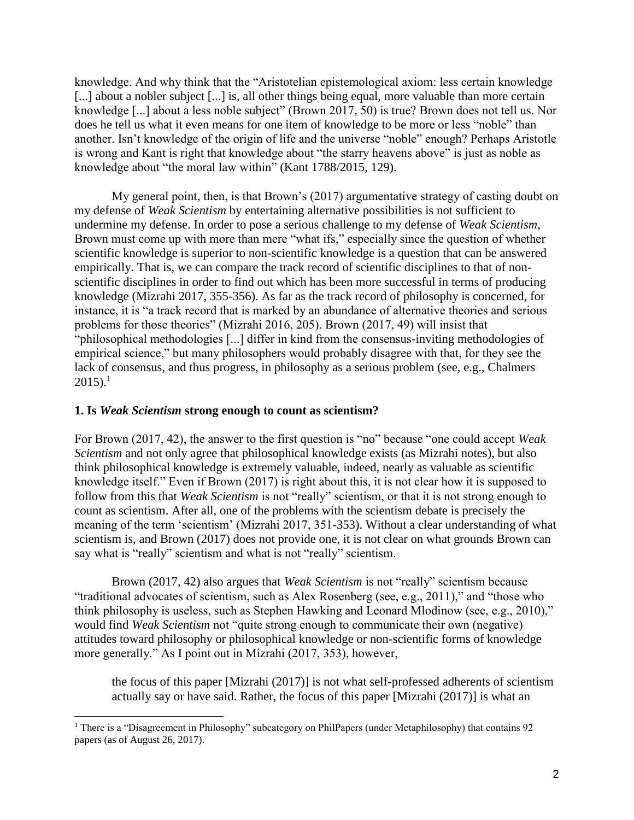knowledge. And why think that the "Aristotelian epistemological axiom: less certain knowledge [...] about a nobler subject [...] is, all other things being equal, more valuable than more certain knowledge [...] about a less noble subject" (Brown 2017, 50) is true? Brown does not tell us. Nor does he tell us what it even means for one item of knowledge to be more or less "noble" than another. Isn't knowledge of the origin of life and the universe "noble" enough? Perhaps Aristotle is wrong and Kant is right that knowledge about "the starry heavens above" is just as noble as knowledge about "the moral law within" (Kant 1788/2015, 129).

My general point, then, is that Brown's (2017) argumentative strategy of casting doubt on my defense of *Weak Scientism* by entertaining alternative possibilities is not sufficient to undermine my defense. In order to pose a serious challenge to my defense of *Weak Scientism*, Brown must come up with more than mere "what ifs," especially since the question of whether scientific knowledge is superior to non-scientific knowledge is a question that can be answered empirically. That is, we can compare the track record of scientific disciplines to that of nonscientific disciplines in order to find out which has been more successful in terms of producing knowledge (Mizrahi 2017, 355-356). As far as the track record of philosophy is concerned, for instance, it is "a track record that is marked by an abundance of alternative theories and serious problems for those theories" (Mizrahi 2016, 205). Brown (2017, 49) will insist that "philosophical methodologies [...] differ in kind from the consensus-inviting methodologies of empirical science," but many philosophers would probably disagree with that, for they see the lack of consensus, and thus progress, in philosophy as a serious problem (see, e.g., Chalmers  $2015$ ).<sup>1</sup>

### **1. Is** *Weak Scientism* **strong enough to count as scientism?**

For Brown (2017, 42), the answer to the first question is "no" because "one could accept *Weak Scientism* and not only agree that philosophical knowledge exists (as Mizrahi notes), but also think philosophical knowledge is extremely valuable, indeed, nearly as valuable as scientific knowledge itself." Even if Brown (2017) is right about this, it is not clear how it is supposed to follow from this that *Weak Scientism* is not "really" scientism, or that it is not strong enough to count as scientism. After all, one of the problems with the scientism debate is precisely the meaning of the term 'scientism' (Mizrahi 2017, 351-353). Without a clear understanding of what scientism is, and Brown (2017) does not provide one, it is not clear on what grounds Brown can say what is "really" scientism and what is not "really" scientism.

Brown (2017, 42) also argues that *Weak Scientism* is not "really" scientism because "traditional advocates of scientism, such as Alex Rosenberg (see, e.g., 2011)," and "those who think philosophy is useless, such as Stephen Hawking and Leonard Mlodinow (see, e.g., 2010)," would find *Weak Scientism* not "quite strong enough to communicate their own (negative) attitudes toward philosophy or philosophical knowledge or non-scientific forms of knowledge more generally." As I point out in Mizrahi (2017, 353), however,

the focus of this paper [Mizrahi (2017)] is not what self-professed adherents of scientism actually say or have said. Rather, the focus of this paper [Mizrahi (2017)] is what an

<sup>&</sup>lt;sup>1</sup> There is a "Disagreement in Philosophy" subcategory on PhilPapers (under Metaphilosophy) that contains 92 papers (as of August 26, 2017).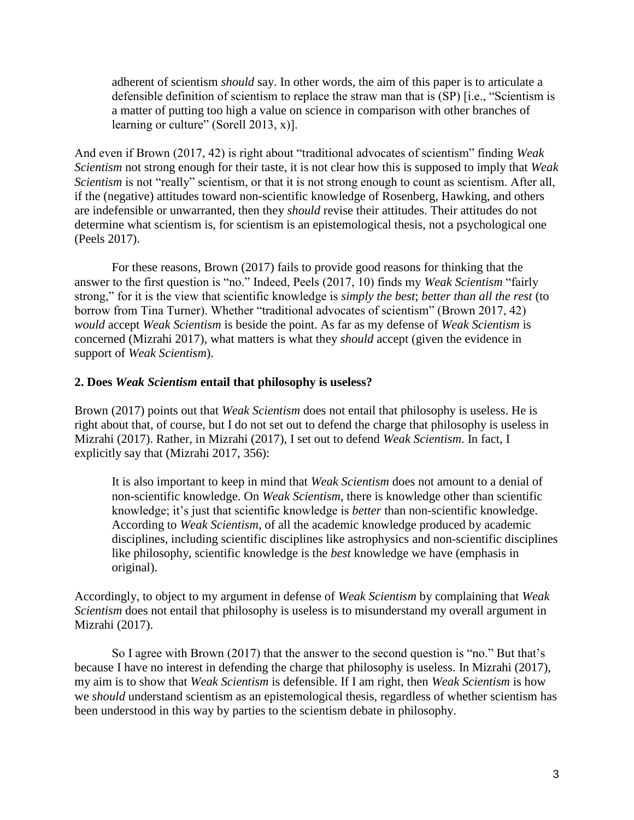adherent of scientism *should* say. In other words, the aim of this paper is to articulate a defensible definition of scientism to replace the straw man that is (SP) [i.e., "Scientism is a matter of putting too high a value on science in comparison with other branches of learning or culture" (Sorell 2013, x)].

And even if Brown (2017, 42) is right about "traditional advocates of scientism" finding *Weak Scientism* not strong enough for their taste, it is not clear how this is supposed to imply that *Weak Scientism* is not "really" scientism, or that it is not strong enough to count as scientism. After all, if the (negative) attitudes toward non-scientific knowledge of Rosenberg, Hawking, and others are indefensible or unwarranted, then they *should* revise their attitudes. Their attitudes do not determine what scientism is, for scientism is an epistemological thesis, not a psychological one (Peels 2017).

For these reasons, Brown (2017) fails to provide good reasons for thinking that the answer to the first question is "no." Indeed, Peels (2017, 10) finds my *Weak Scientism* "fairly strong," for it is the view that scientific knowledge is *simply the best*; *better than all the rest* (to borrow from Tina Turner). Whether "traditional advocates of scientism" (Brown 2017, 42) *would* accept *Weak Scientism* is beside the point. As far as my defense of *Weak Scientism* is concerned (Mizrahi 2017), what matters is what they *should* accept (given the evidence in support of *Weak Scientism*).

#### **2. Does** *Weak Scientism* **entail that philosophy is useless?**

Brown (2017) points out that *Weak Scientism* does not entail that philosophy is useless. He is right about that, of course, but I do not set out to defend the charge that philosophy is useless in Mizrahi (2017). Rather, in Mizrahi (2017), I set out to defend *Weak Scientism*. In fact, I explicitly say that (Mizrahi 2017, 356):

It is also important to keep in mind that *Weak Scientism* does not amount to a denial of non-scientific knowledge. On *Weak Scientism*, there is knowledge other than scientific knowledge; it's just that scientific knowledge is *better* than non-scientific knowledge. According to *Weak Scientism*, of all the academic knowledge produced by academic disciplines, including scientific disciplines like astrophysics and non-scientific disciplines like philosophy, scientific knowledge is the *best* knowledge we have (emphasis in original).

Accordingly, to object to my argument in defense of *Weak Scientism* by complaining that *Weak Scientism* does not entail that philosophy is useless is to misunderstand my overall argument in Mizrahi (2017).

So I agree with Brown (2017) that the answer to the second question is "no." But that's because I have no interest in defending the charge that philosophy is useless. In Mizrahi (2017), my aim is to show that *Weak Scientism* is defensible. If I am right, then *Weak Scientism* is how we *should* understand scientism as an epistemological thesis, regardless of whether scientism has been understood in this way by parties to the scientism debate in philosophy.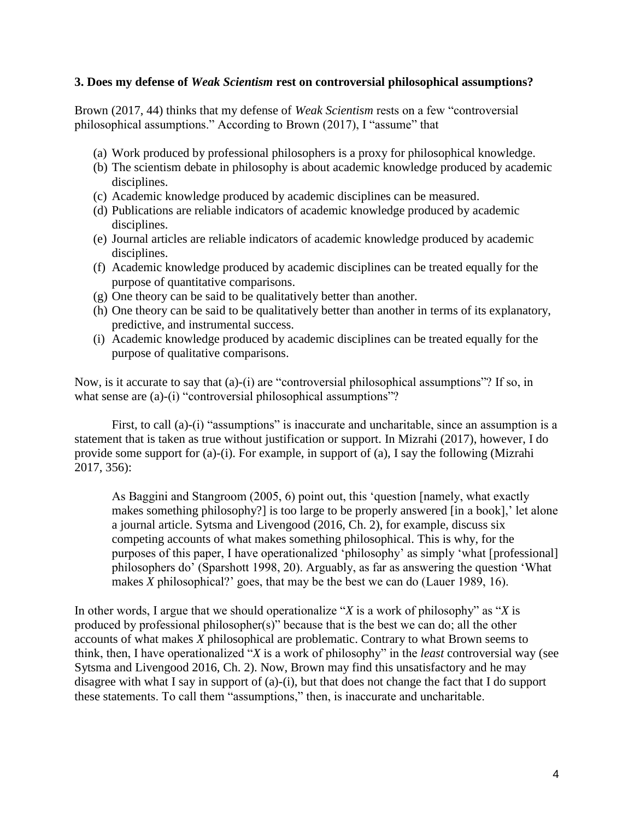### **3. Does my defense of** *Weak Scientism* **rest on controversial philosophical assumptions?**

Brown (2017, 44) thinks that my defense of *Weak Scientism* rests on a few "controversial philosophical assumptions." According to Brown (2017), I "assume" that

- (a) Work produced by professional philosophers is a proxy for philosophical knowledge.
- (b) The scientism debate in philosophy is about academic knowledge produced by academic disciplines.
- (c) Academic knowledge produced by academic disciplines can be measured.
- (d) Publications are reliable indicators of academic knowledge produced by academic disciplines.
- (e) Journal articles are reliable indicators of academic knowledge produced by academic disciplines.
- (f) Academic knowledge produced by academic disciplines can be treated equally for the purpose of quantitative comparisons.
- (g) One theory can be said to be qualitatively better than another.
- (h) One theory can be said to be qualitatively better than another in terms of its explanatory, predictive, and instrumental success.
- (i) Academic knowledge produced by academic disciplines can be treated equally for the purpose of qualitative comparisons.

Now, is it accurate to say that (a)-(i) are "controversial philosophical assumptions"? If so, in what sense are (a)-(i) "controversial philosophical assumptions"?

First, to call (a)-(i) "assumptions" is inaccurate and uncharitable, since an assumption is a statement that is taken as true without justification or support. In Mizrahi (2017), however, I do provide some support for (a)-(i). For example, in support of (a), I say the following (Mizrahi 2017, 356):

As Baggini and Stangroom (2005, 6) point out, this 'question [namely, what exactly makes something philosophy?] is too large to be properly answered [in a book],' let alone a journal article. Sytsma and Livengood (2016, Ch. 2), for example, discuss six competing accounts of what makes something philosophical. This is why, for the purposes of this paper, I have operationalized 'philosophy' as simply 'what [professional] philosophers do' (Sparshott 1998, 20). Arguably, as far as answering the question 'What makes *X* philosophical?' goes, that may be the best we can do (Lauer 1989, 16).

In other words, I argue that we should operationalize "*X* is a work of philosophy" as "*X* is produced by professional philosopher(s)" because that is the best we can do; all the other accounts of what makes *X* philosophical are problematic. Contrary to what Brown seems to think, then, I have operationalized "*X* is a work of philosophy" in the *least* controversial way (see Sytsma and Livengood 2016, Ch. 2). Now, Brown may find this unsatisfactory and he may disagree with what I say in support of (a)-(i), but that does not change the fact that I do support these statements. To call them "assumptions," then, is inaccurate and uncharitable.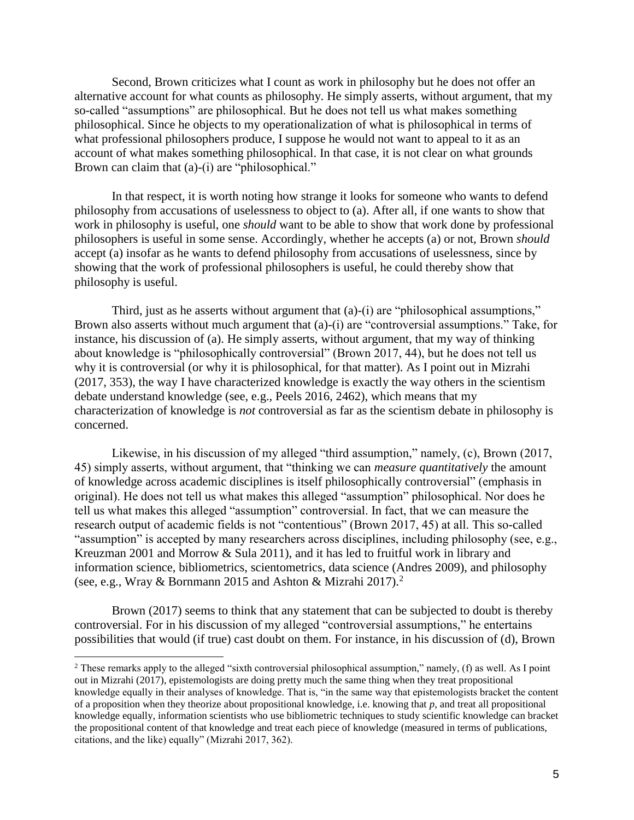Second, Brown criticizes what I count as work in philosophy but he does not offer an alternative account for what counts as philosophy. He simply asserts, without argument, that my so-called "assumptions" are philosophical. But he does not tell us what makes something philosophical. Since he objects to my operationalization of what is philosophical in terms of what professional philosophers produce, I suppose he would not want to appeal to it as an account of what makes something philosophical. In that case, it is not clear on what grounds Brown can claim that (a)-(i) are "philosophical."

In that respect, it is worth noting how strange it looks for someone who wants to defend philosophy from accusations of uselessness to object to (a). After all, if one wants to show that work in philosophy is useful, one *should* want to be able to show that work done by professional philosophers is useful in some sense. Accordingly, whether he accepts (a) or not, Brown *should*  accept (a) insofar as he wants to defend philosophy from accusations of uselessness, since by showing that the work of professional philosophers is useful, he could thereby show that philosophy is useful.

Third, just as he asserts without argument that (a)-(i) are "philosophical assumptions," Brown also asserts without much argument that (a)-(i) are "controversial assumptions." Take, for instance, his discussion of (a). He simply asserts, without argument, that my way of thinking about knowledge is "philosophically controversial" (Brown 2017, 44), but he does not tell us why it is controversial (or why it is philosophical, for that matter). As I point out in Mizrahi (2017, 353), the way I have characterized knowledge is exactly the way others in the scientism debate understand knowledge (see, e.g., Peels 2016, 2462), which means that my characterization of knowledge is *not* controversial as far as the scientism debate in philosophy is concerned.

Likewise, in his discussion of my alleged "third assumption," namely, (c), Brown (2017, 45) simply asserts, without argument, that "thinking we can *measure quantitatively* the amount of knowledge across academic disciplines is itself philosophically controversial" (emphasis in original). He does not tell us what makes this alleged "assumption" philosophical. Nor does he tell us what makes this alleged "assumption" controversial. In fact, that we can measure the research output of academic fields is not "contentious" (Brown 2017, 45) at all. This so-called "assumption" is accepted by many researchers across disciplines, including philosophy (see, e.g., Kreuzman 2001 and Morrow & Sula 2011), and it has led to fruitful work in library and information science, bibliometrics, scientometrics, data science (Andres 2009), and philosophy (see, e.g., Wray & Bornmann 2015 and Ashton & Mizrahi 2017).<sup>2</sup>

Brown (2017) seems to think that any statement that can be subjected to doubt is thereby controversial. For in his discussion of my alleged "controversial assumptions," he entertains possibilities that would (if true) cast doubt on them. For instance, in his discussion of (d), Brown

<sup>&</sup>lt;sup>2</sup> These remarks apply to the alleged "sixth controversial philosophical assumption," namely, (f) as well. As I point out in Mizrahi (2017), epistemologists are doing pretty much the same thing when they treat propositional knowledge equally in their analyses of knowledge. That is, "in the same way that epistemologists bracket the content of a proposition when they theorize about propositional knowledge, i.e. knowing that  $p$ , and treat all propositional knowledge equally, information scientists who use bibliometric techniques to study scientific knowledge can bracket the propositional content of that knowledge and treat each piece of knowledge (measured in terms of publications, citations, and the like) equally" (Mizrahi 2017, 362).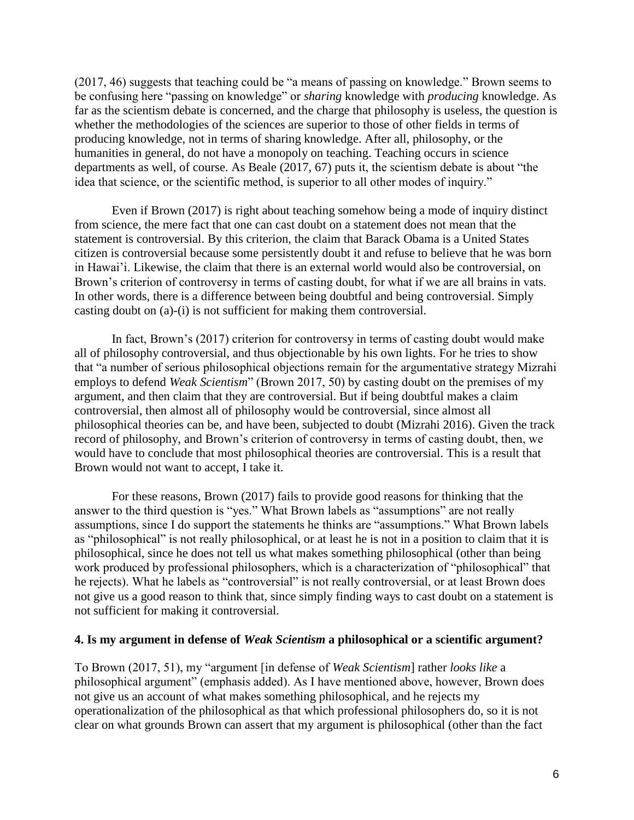(2017, 46) suggests that teaching could be "a means of passing on knowledge." Brown seems to be confusing here "passing on knowledge" or *sharing* knowledge with *producing* knowledge. As far as the scientism debate is concerned, and the charge that philosophy is useless, the question is whether the methodologies of the sciences are superior to those of other fields in terms of producing knowledge, not in terms of sharing knowledge. After all, philosophy, or the humanities in general, do not have a monopoly on teaching. Teaching occurs in science departments as well, of course. As Beale (2017, 67) puts it, the scientism debate is about "the idea that science, or the scientific method, is superior to all other modes of inquiry."

Even if Brown (2017) is right about teaching somehow being a mode of inquiry distinct from science, the mere fact that one can cast doubt on a statement does not mean that the statement is controversial. By this criterion, the claim that Barack Obama is a United States citizen is controversial because some persistently doubt it and refuse to believe that he was born in Hawai'i. Likewise, the claim that there is an external world would also be controversial, on Brown's criterion of controversy in terms of casting doubt, for what if we are all brains in vats. In other words, there is a difference between being doubtful and being controversial. Simply casting doubt on (a)-(i) is not sufficient for making them controversial.

In fact, Brown's (2017) criterion for controversy in terms of casting doubt would make all of philosophy controversial, and thus objectionable by his own lights. For he tries to show that "a number of serious philosophical objections remain for the argumentative strategy Mizrahi employs to defend *Weak Scientism*" (Brown 2017, 50) by casting doubt on the premises of my argument, and then claim that they are controversial. But if being doubtful makes a claim controversial, then almost all of philosophy would be controversial, since almost all philosophical theories can be, and have been, subjected to doubt (Mizrahi 2016). Given the track record of philosophy, and Brown's criterion of controversy in terms of casting doubt, then, we would have to conclude that most philosophical theories are controversial. This is a result that Brown would not want to accept, I take it.

For these reasons, Brown (2017) fails to provide good reasons for thinking that the answer to the third question is "yes." What Brown labels as "assumptions" are not really assumptions, since I do support the statements he thinks are "assumptions." What Brown labels as "philosophical" is not really philosophical, or at least he is not in a position to claim that it is philosophical, since he does not tell us what makes something philosophical (other than being work produced by professional philosophers, which is a characterization of "philosophical" that he rejects). What he labels as "controversial" is not really controversial, or at least Brown does not give us a good reason to think that, since simply finding ways to cast doubt on a statement is not sufficient for making it controversial.

#### **4. Is my argument in defense of** *Weak Scientism* **a philosophical or a scientific argument?**

To Brown (2017, 51), my "argument [in defense of *Weak Scientism*] rather *looks like* a philosophical argument" (emphasis added). As I have mentioned above, however, Brown does not give us an account of what makes something philosophical, and he rejects my operationalization of the philosophical as that which professional philosophers do, so it is not clear on what grounds Brown can assert that my argument is philosophical (other than the fact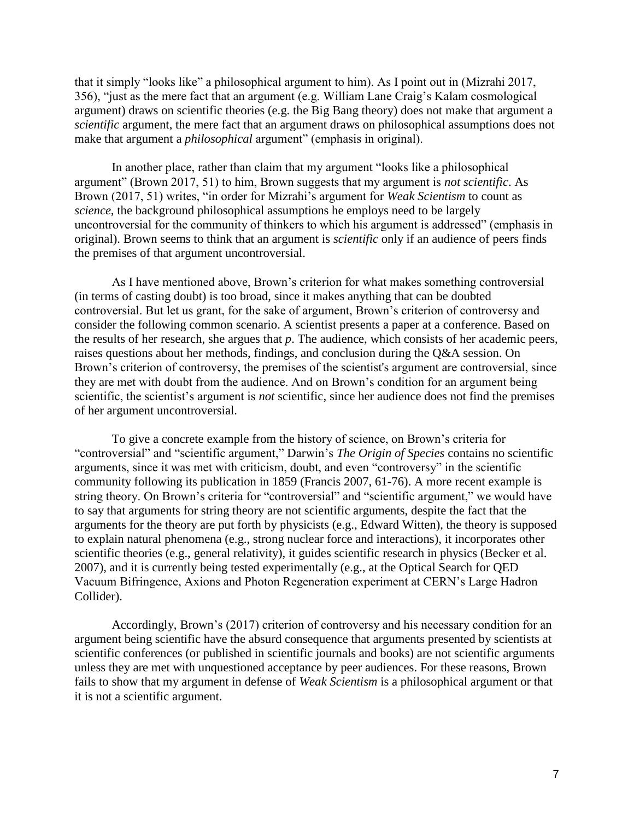that it simply "looks like" a philosophical argument to him). As I point out in (Mizrahi 2017, 356), "just as the mere fact that an argument (e.g. William Lane Craig's Kalam cosmological argument) draws on scientific theories (e.g. the Big Bang theory) does not make that argument a *scientific* argument, the mere fact that an argument draws on philosophical assumptions does not make that argument a *philosophical* argument" (emphasis in original).

In another place, rather than claim that my argument "looks like a philosophical argument" (Brown 2017, 51) to him, Brown suggests that my argument is *not scientific*. As Brown (2017, 51) writes, "in order for Mizrahi's argument for *Weak Scientism* to count as *science*, the background philosophical assumptions he employs need to be largely uncontroversial for the community of thinkers to which his argument is addressed" (emphasis in original). Brown seems to think that an argument is *scientific* only if an audience of peers finds the premises of that argument uncontroversial.

As I have mentioned above, Brown's criterion for what makes something controversial (in terms of casting doubt) is too broad, since it makes anything that can be doubted controversial. But let us grant, for the sake of argument, Brown's criterion of controversy and consider the following common scenario. A scientist presents a paper at a conference. Based on the results of her research, she argues that *p*. The audience, which consists of her academic peers, raises questions about her methods, findings, and conclusion during the Q&A session. On Brown's criterion of controversy, the premises of the scientist's argument are controversial, since they are met with doubt from the audience. And on Brown's condition for an argument being scientific, the scientist's argument is *not* scientific, since her audience does not find the premises of her argument uncontroversial.

To give a concrete example from the history of science, on Brown's criteria for "controversial" and "scientific argument," Darwin's *The Origin of Species* contains no scientific arguments, since it was met with criticism, doubt, and even "controversy" in the scientific community following its publication in 1859 (Francis 2007, 61-76). A more recent example is string theory. On Brown's criteria for "controversial" and "scientific argument," we would have to say that arguments for string theory are not scientific arguments, despite the fact that the arguments for the theory are put forth by physicists (e.g., Edward Witten), the theory is supposed to explain natural phenomena (e.g., strong nuclear force and interactions), it incorporates other scientific theories (e.g., general relativity), it guides scientific research in physics (Becker et al. 2007), and it is currently being tested experimentally (e.g., at the Optical Search for QED Vacuum Bifringence, Axions and Photon Regeneration experiment at CERN's Large Hadron Collider).

Accordingly, Brown's (2017) criterion of controversy and his necessary condition for an argument being scientific have the absurd consequence that arguments presented by scientists at scientific conferences (or published in scientific journals and books) are not scientific arguments unless they are met with unquestioned acceptance by peer audiences. For these reasons, Brown fails to show that my argument in defense of *Weak Scientism* is a philosophical argument or that it is not a scientific argument.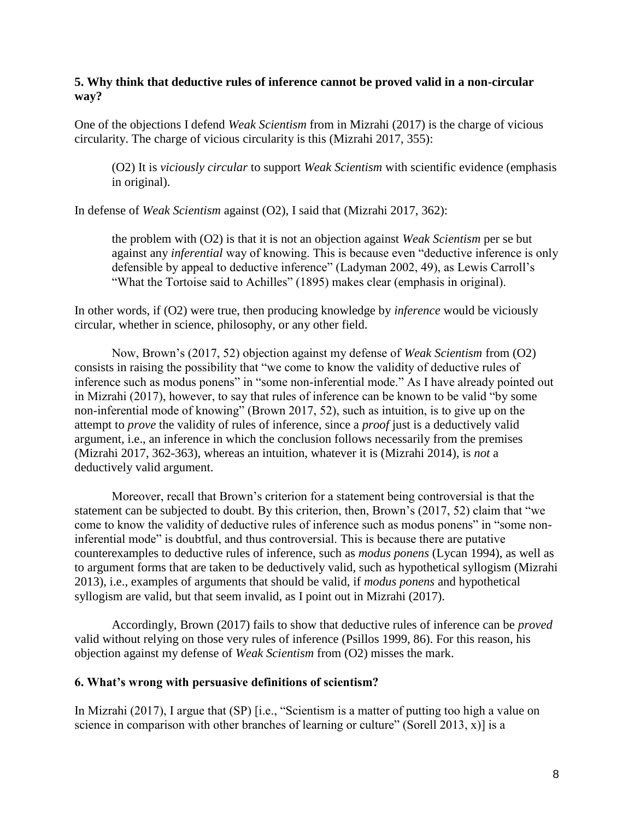## **5. Why think that deductive rules of inference cannot be proved valid in a non-circular way?**

One of the objections I defend *Weak Scientism* from in Mizrahi (2017) is the charge of vicious circularity. The charge of vicious circularity is this (Mizrahi 2017, 355):

(O2) It is *viciously circular* to support *Weak Scientism* with scientific evidence (emphasis in original).

In defense of *Weak Scientism* against (O2), I said that (Mizrahi 2017, 362):

the problem with (O2) is that it is not an objection against *Weak Scientism* per se but against any *inferential* way of knowing. This is because even "deductive inference is only defensible by appeal to deductive inference" (Ladyman 2002, 49), as Lewis Carroll's "What the Tortoise said to Achilles" (1895) makes clear (emphasis in original).

In other words, if (O2) were true, then producing knowledge by *inference* would be viciously circular, whether in science, philosophy, or any other field.

Now, Brown's (2017, 52) objection against my defense of *Weak Scientism* from (O2) consists in raising the possibility that "we come to know the validity of deductive rules of inference such as modus ponens" in "some non-inferential mode." As I have already pointed out in Mizrahi (2017), however, to say that rules of inference can be known to be valid "by some non-inferential mode of knowing" (Brown 2017, 52), such as intuition, is to give up on the attempt to *prove* the validity of rules of inference, since a *proof* just is a deductively valid argument, i.e., an inference in which the conclusion follows necessarily from the premises (Mizrahi 2017, 362-363), whereas an intuition, whatever it is (Mizrahi 2014), is *not* a deductively valid argument.

Moreover, recall that Brown's criterion for a statement being controversial is that the statement can be subjected to doubt. By this criterion, then, Brown's (2017, 52) claim that "we come to know the validity of deductive rules of inference such as modus ponens" in "some noninferential mode" is doubtful, and thus controversial. This is because there are putative counterexamples to deductive rules of inference, such as *modus ponens* (Lycan 1994), as well as to argument forms that are taken to be deductively valid, such as hypothetical syllogism (Mizrahi 2013), i.e., examples of arguments that should be valid, if *modus ponens* and hypothetical syllogism are valid, but that seem invalid, as I point out in Mizrahi (2017).

Accordingly, Brown (2017) fails to show that deductive rules of inference can be *proved*  valid without relying on those very rules of inference (Psillos 1999, 86). For this reason, his objection against my defense of *Weak Scientism* from (O2) misses the mark.

# **6. What's wrong with persuasive definitions of scientism?**

In Mizrahi (2017), I argue that (SP) [i.e., "Scientism is a matter of putting too high a value on science in comparison with other branches of learning or culture" (Sorell 2013, x)] is a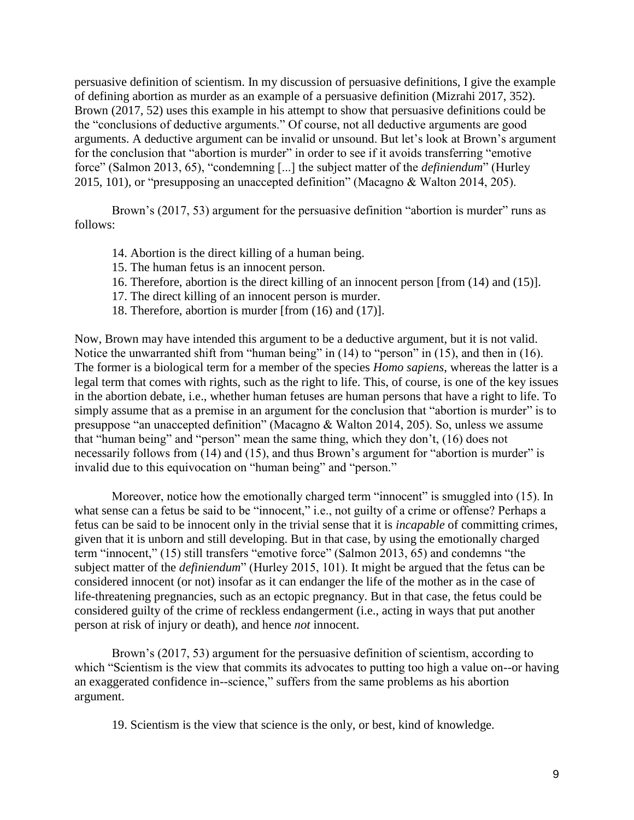persuasive definition of scientism. In my discussion of persuasive definitions, I give the example of defining abortion as murder as an example of a persuasive definition (Mizrahi 2017, 352). Brown (2017, 52) uses this example in his attempt to show that persuasive definitions could be the "conclusions of deductive arguments." Of course, not all deductive arguments are good arguments. A deductive argument can be invalid or unsound. But let's look at Brown's argument for the conclusion that "abortion is murder" in order to see if it avoids transferring "emotive force" (Salmon 2013, 65), "condemning [...] the subject matter of the *definiendum*" (Hurley 2015, 101), or "presupposing an unaccepted definition" (Macagno & Walton 2014, 205).

Brown's (2017, 53) argument for the persuasive definition "abortion is murder" runs as follows:

- 14. Abortion is the direct killing of a human being.
- 15. The human fetus is an innocent person.
- 16. Therefore, abortion is the direct killing of an innocent person [from (14) and (15)].
- 17. The direct killing of an innocent person is murder.
- 18. Therefore, abortion is murder [from (16) and (17)].

Now, Brown may have intended this argument to be a deductive argument, but it is not valid. Notice the unwarranted shift from "human being" in (14) to "person" in (15), and then in (16). The former is a biological term for a member of the species *Homo sapiens*, whereas the latter is a legal term that comes with rights, such as the right to life. This, of course, is one of the key issues in the abortion debate, i.e., whether human fetuses are human persons that have a right to life. To simply assume that as a premise in an argument for the conclusion that "abortion is murder" is to presuppose "an unaccepted definition" (Macagno & Walton 2014, 205). So, unless we assume that "human being" and "person" mean the same thing, which they don't, (16) does not necessarily follows from (14) and (15), and thus Brown's argument for "abortion is murder" is invalid due to this equivocation on "human being" and "person."

Moreover, notice how the emotionally charged term "innocent" is smuggled into (15). In what sense can a fetus be said to be "innocent," i.e., not guilty of a crime or offense? Perhaps a fetus can be said to be innocent only in the trivial sense that it is *incapable* of committing crimes, given that it is unborn and still developing. But in that case, by using the emotionally charged term "innocent," (15) still transfers "emotive force" (Salmon 2013, 65) and condemns "the subject matter of the *definiendum*" (Hurley 2015, 101). It might be argued that the fetus can be considered innocent (or not) insofar as it can endanger the life of the mother as in the case of life-threatening pregnancies, such as an ectopic pregnancy. But in that case, the fetus could be considered guilty of the crime of reckless endangerment (i.e., acting in ways that put another person at risk of injury or death), and hence *not* innocent.

Brown's (2017, 53) argument for the persuasive definition of scientism, according to which "Scientism is the view that commits its advocates to putting too high a value on--or having an exaggerated confidence in--science," suffers from the same problems as his abortion argument.

19. Scientism is the view that science is the only, or best, kind of knowledge.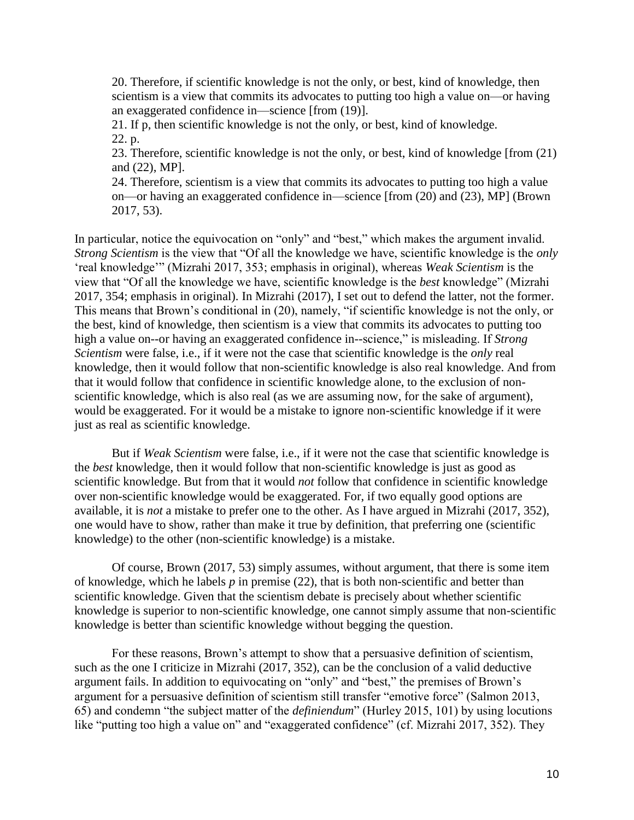20. Therefore, if scientific knowledge is not the only, or best, kind of knowledge, then scientism is a view that commits its advocates to putting too high a value on—or having an exaggerated confidence in—science [from (19)].

21. If p, then scientific knowledge is not the only, or best, kind of knowledge. 22. p.

23. Therefore, scientific knowledge is not the only, or best, kind of knowledge [from (21) and (22), MP].

24. Therefore, scientism is a view that commits its advocates to putting too high a value on—or having an exaggerated confidence in—science [from (20) and (23), MP] (Brown 2017, 53).

In particular, notice the equivocation on "only" and "best," which makes the argument invalid. *Strong Scientism* is the view that "Of all the knowledge we have, scientific knowledge is the *only*  'real knowledge'" (Mizrahi 2017, 353; emphasis in original), whereas *Weak Scientism* is the view that "Of all the knowledge we have, scientific knowledge is the *best* knowledge" (Mizrahi 2017, 354; emphasis in original). In Mizrahi (2017), I set out to defend the latter, not the former. This means that Brown's conditional in (20), namely, "if scientific knowledge is not the only, or the best, kind of knowledge, then scientism is a view that commits its advocates to putting too high a value on--or having an exaggerated confidence in--science," is misleading. If *Strong Scientism* were false, i.e., if it were not the case that scientific knowledge is the *only* real knowledge, then it would follow that non-scientific knowledge is also real knowledge. And from that it would follow that confidence in scientific knowledge alone, to the exclusion of nonscientific knowledge, which is also real (as we are assuming now, for the sake of argument), would be exaggerated. For it would be a mistake to ignore non-scientific knowledge if it were just as real as scientific knowledge.

But if *Weak Scientism* were false, i.e., if it were not the case that scientific knowledge is the *best* knowledge, then it would follow that non-scientific knowledge is just as good as scientific knowledge. But from that it would *not* follow that confidence in scientific knowledge over non-scientific knowledge would be exaggerated. For, if two equally good options are available, it is *not* a mistake to prefer one to the other. As I have argued in Mizrahi (2017, 352), one would have to show, rather than make it true by definition, that preferring one (scientific knowledge) to the other (non-scientific knowledge) is a mistake.

Of course, Brown (2017, 53) simply assumes, without argument, that there is some item of knowledge, which he labels *p* in premise (22), that is both non-scientific and better than scientific knowledge. Given that the scientism debate is precisely about whether scientific knowledge is superior to non-scientific knowledge, one cannot simply assume that non-scientific knowledge is better than scientific knowledge without begging the question.

For these reasons, Brown's attempt to show that a persuasive definition of scientism, such as the one I criticize in Mizrahi (2017, 352), can be the conclusion of a valid deductive argument fails. In addition to equivocating on "only" and "best," the premises of Brown's argument for a persuasive definition of scientism still transfer "emotive force" (Salmon 2013, 65) and condemn "the subject matter of the *definiendum*" (Hurley 2015, 101) by using locutions like "putting too high a value on" and "exaggerated confidence" (cf. Mizrahi 2017, 352). They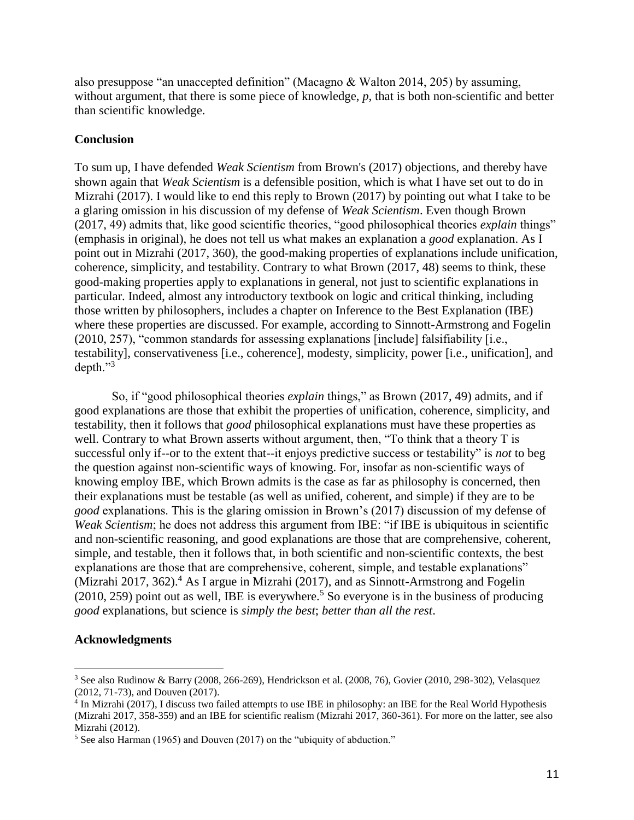also presuppose "an unaccepted definition" (Macagno & Walton 2014, 205) by assuming, without argument, that there is some piece of knowledge, p, that is both non-scientific and better than scientific knowledge.

#### **Conclusion**

To sum up, I have defended *Weak Scientism* from Brown's (2017) objections, and thereby have shown again that *Weak Scientism* is a defensible position, which is what I have set out to do in Mizrahi (2017). I would like to end this reply to Brown (2017) by pointing out what I take to be a glaring omission in his discussion of my defense of *Weak Scientism*. Even though Brown (2017, 49) admits that, like good scientific theories, "good philosophical theories *explain* things" (emphasis in original), he does not tell us what makes an explanation a *good* explanation. As I point out in Mizrahi (2017, 360), the good-making properties of explanations include unification, coherence, simplicity, and testability. Contrary to what Brown (2017, 48) seems to think, these good-making properties apply to explanations in general, not just to scientific explanations in particular. Indeed, almost any introductory textbook on logic and critical thinking, including those written by philosophers, includes a chapter on Inference to the Best Explanation (IBE) where these properties are discussed. For example, according to Sinnott-Armstrong and Fogelin (2010, 257), "common standards for assessing explanations [include] falsifiability [i.e., testability], conservativeness [i.e., coherence], modesty, simplicity, power [i.e., unification], and depth."<sup>3</sup>

So, if "good philosophical theories *explain* things," as Brown (2017, 49) admits, and if good explanations are those that exhibit the properties of unification, coherence, simplicity, and testability, then it follows that *good* philosophical explanations must have these properties as well. Contrary to what Brown asserts without argument, then, "To think that a theory T is successful only if--or to the extent that--it enjoys predictive success or testability" is *not* to beg the question against non-scientific ways of knowing. For, insofar as non-scientific ways of knowing employ IBE, which Brown admits is the case as far as philosophy is concerned, then their explanations must be testable (as well as unified, coherent, and simple) if they are to be *good* explanations. This is the glaring omission in Brown's (2017) discussion of my defense of *Weak Scientism*; he does not address this argument from IBE: "if IBE is ubiquitous in scientific and non-scientific reasoning, and good explanations are those that are comprehensive, coherent, simple, and testable, then it follows that, in both scientific and non-scientific contexts, the best explanations are those that are comprehensive, coherent, simple, and testable explanations" (Mizrahi 2017, 362).<sup>4</sup> As I argue in Mizrahi (2017), and as Sinnott-Armstrong and Fogelin  $(2010, 259)$  point out as well, IBE is everywhere.<sup>5</sup> So everyone is in the business of producing *good* explanations, but science is *simply the best*; *better than all the rest*.

#### **Acknowledgments**

 $\overline{a}$ 

<sup>3</sup> See also Rudinow & Barry (2008, 266-269), Hendrickson et al. (2008, 76), Govier (2010, 298-302), Velasquez (2012, 71-73), and Douven (2017).

<sup>&</sup>lt;sup>4</sup> In Mizrahi (2017), I discuss two failed attempts to use IBE in philosophy: an IBE for the Real World Hypothesis (Mizrahi 2017, 358-359) and an IBE for scientific realism (Mizrahi 2017, 360-361). For more on the latter, see also Mizrahi (2012).

<sup>5</sup> See also Harman (1965) and Douven (2017) on the "ubiquity of abduction."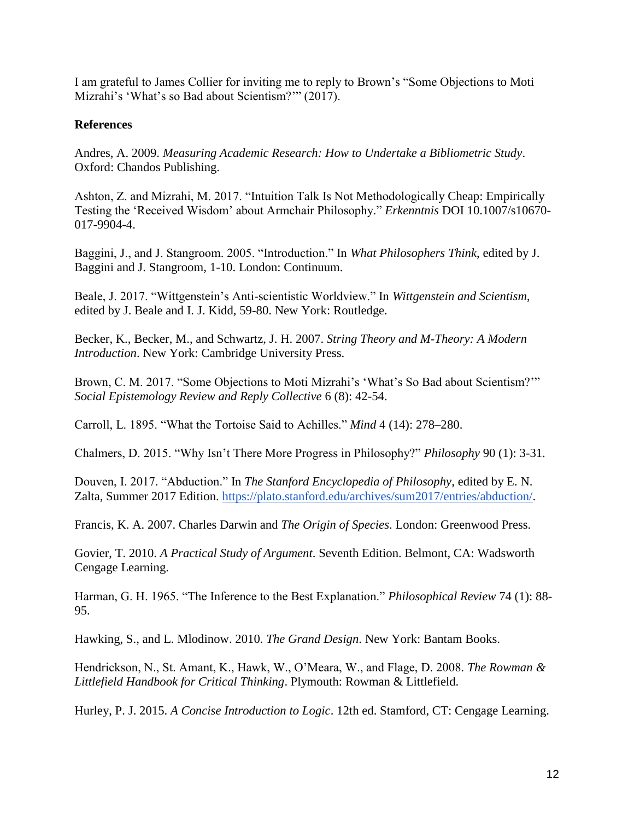I am grateful to James Collier for inviting me to reply to Brown's "Some Objections to Moti Mizrahi's 'What's so Bad about Scientism?'" (2017).

# **References**

Andres, A. 2009. *Measuring Academic Research: How to Undertake a Bibliometric Study*. Oxford: Chandos Publishing.

Ashton, Z. and Mizrahi, M. 2017. "Intuition Talk Is Not Methodologically Cheap: Empirically Testing the 'Received Wisdom' about Armchair Philosophy." *Erkenntnis* DOI 10.1007/s10670- 017-9904-4.

Baggini, J., and J. Stangroom. 2005. "Introduction." In *What Philosophers Think*, edited by J. Baggini and J. Stangroom, 1-10. London: Continuum.

Beale, J. 2017. "Wittgenstein's Anti-scientistic Worldview." In *Wittgenstein and Scientism*, edited by J. Beale and I. J. Kidd, 59-80. New York: Routledge.

Becker, K., Becker, M., and Schwartz, J. H. 2007. *String Theory and M-Theory: A Modern Introduction*. New York: Cambridge University Press.

Brown, C. M. 2017. "Some Objections to Moti Mizrahi's 'What's So Bad about Scientism?'" *Social Epistemology Review and Reply Collective* 6 (8): 42-54.

Carroll, L. 1895. "What the Tortoise Said to Achilles." *Mind* 4 (14): 278–280.

Chalmers, D. 2015. "Why Isn't There More Progress in Philosophy?" *Philosophy* 90 (1): 3-31.

Douven, I. 2017. "Abduction." In *The Stanford Encyclopedia of Philosophy*, edited by E. N. Zalta, Summer 2017 Edition. [https://plato.stanford.edu/archives/sum2017/entries/abduction/.](https://plato.stanford.edu/archives/sum2017/entries/abduction/)

Francis, K. A. 2007. Charles Darwin and *The Origin of Species*. London: Greenwood Press.

Govier, T. 2010. *A Practical Study of Argument*. Seventh Edition. Belmont, CA: Wadsworth Cengage Learning.

Harman, G. H. 1965. "The Inference to the Best Explanation." *Philosophical Review* 74 (1): 88- 95.

Hawking, S., and L. Mlodinow. 2010. *The Grand Design*. New York: Bantam Books.

Hendrickson, N., St. Amant, K., Hawk, W., O'Meara, W., and Flage, D. 2008. *The Rowman & Littlefield Handbook for Critical Thinking*. Plymouth: Rowman & Littlefield.

Hurley, P. J. 2015. *A Concise Introduction to Logic*. 12th ed. Stamford, CT: Cengage Learning.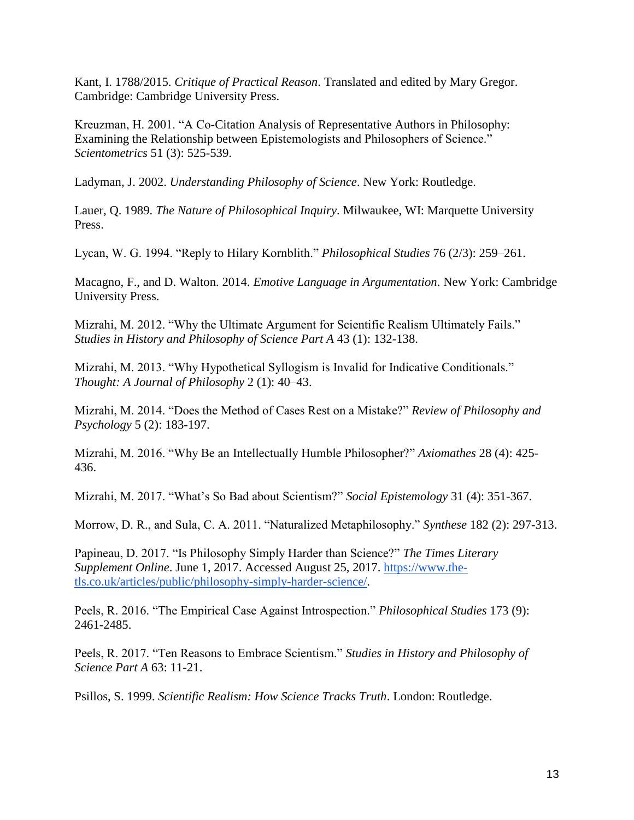Kant, I. 1788/2015. *Critique of Practical Reason*. Translated and edited by Mary Gregor. Cambridge: Cambridge University Press.

Kreuzman, H. 2001. "A Co-Citation Analysis of Representative Authors in Philosophy: Examining the Relationship between Epistemologists and Philosophers of Science." *Scientometrics* 51 (3): 525-539.

Ladyman, J. 2002. *Understanding Philosophy of Science*. New York: Routledge.

Lauer, Q. 1989. *The Nature of Philosophical Inquiry*. Milwaukee, WI: Marquette University Press.

Lycan, W. G. 1994. "Reply to Hilary Kornblith." *Philosophical Studies* 76 (2/3): 259–261.

Macagno, F., and D. Walton. 2014. *Emotive Language in Argumentation*. New York: Cambridge University Press.

Mizrahi, M. 2012. "Why the Ultimate Argument for Scientific Realism Ultimately Fails." *Studies in History and Philosophy of Science Part A* 43 (1): 132-138.

Mizrahi, M. 2013. "Why Hypothetical Syllogism is Invalid for Indicative Conditionals." *Thought: A Journal of Philosophy* 2 (1): 40–43.

Mizrahi, M. 2014. "Does the Method of Cases Rest on a Mistake?" *Review of Philosophy and Psychology* 5 (2): 183-197.

Mizrahi, M. 2016. "Why Be an Intellectually Humble Philosopher?" *Axiomathes* 28 (4): 425- 436.

Mizrahi, M. 2017. "What's So Bad about Scientism?" *Social Epistemology* 31 (4): 351-367.

Morrow, D. R., and Sula, C. A. 2011. "Naturalized Metaphilosophy." *Synthese* 182 (2): 297-313.

Papineau, D. 2017. "Is Philosophy Simply Harder than Science?" *The Times Literary Supplement Online*. June 1, 2017. Accessed August 25, 2017. [https://www.the](https://www.the-tls.co.uk/articles/public/philosophy-simply-harder-science/)[tls.co.uk/articles/public/philosophy-simply-harder-science/.](https://www.the-tls.co.uk/articles/public/philosophy-simply-harder-science/)

Peels, R. 2016. "The Empirical Case Against Introspection." *Philosophical Studies* 173 (9): 2461-2485.

Peels, R. 2017. "Ten Reasons to Embrace Scientism." *Studies in History and Philosophy of Science Part A* 63: 11-21.

Psillos, S. 1999. *Scientific Realism: How Science Tracks Truth*. London: Routledge.